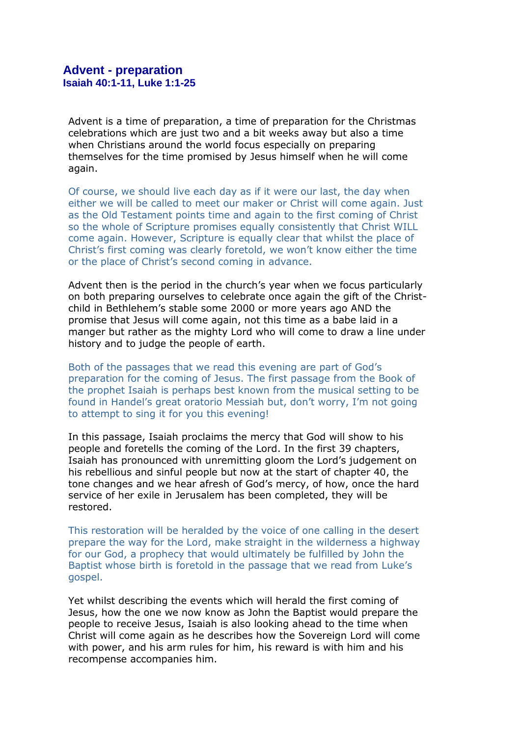Advent is a time of preparation, a time of preparation for the Christmas celebrations which are just two and a bit weeks away but also a time when Christians around the world focus especially on preparing themselves for the time promised by Jesus himself when he will come again.

Of course, we should live each day as if it were our last, the day when either we will be called to meet our maker or Christ will come again. Just as the Old Testament points time and again to the first coming of Christ so the whole of Scripture promises equally consistently that Christ WILL come again. However, Scripture is equally clear that whilst the place of Christ's first coming was clearly foretold, we won't know either the time or the place of Christ's second coming in advance.

Advent then is the period in the church's year when we focus particularly on both preparing ourselves to celebrate once again the gift of the Christchild in Bethlehem's stable some 2000 or more years ago AND the promise that Jesus will come again, not this time as a babe laid in a manger but rather as the mighty Lord who will come to draw a line under history and to judge the people of earth.

Both of the passages that we read this evening are part of God's preparation for the coming of Jesus. The first passage from the Book of the prophet Isaiah is perhaps best known from the musical setting to be found in Handel's great oratorio Messiah but, don't worry, I'm not going to attempt to sing it for you this evening!

In this passage, Isaiah proclaims the mercy that God will show to his people and foretells the coming of the Lord. In the first 39 chapters, Isaiah has pronounced with unremitting gloom the Lord's judgement on his rebellious and sinful people but now at the start of chapter 40, the tone changes and we hear afresh of God's mercy, of how, once the hard service of her exile in Jerusalem has been completed, they will be restored.

This restoration will be heralded by the voice of one calling in the desert prepare the way for the Lord, make straight in the wilderness a highway for our God, a prophecy that would ultimately be fulfilled by John the Baptist whose birth is foretold in the passage that we read from Luke's gospel.

Yet whilst describing the events which will herald the first coming of Jesus, how the one we now know as John the Baptist would prepare the people to receive Jesus, Isaiah is also looking ahead to the time when Christ will come again as he describes how the Sovereign Lord will come with power, and his arm rules for him, his reward is with him and his recompense accompanies him.